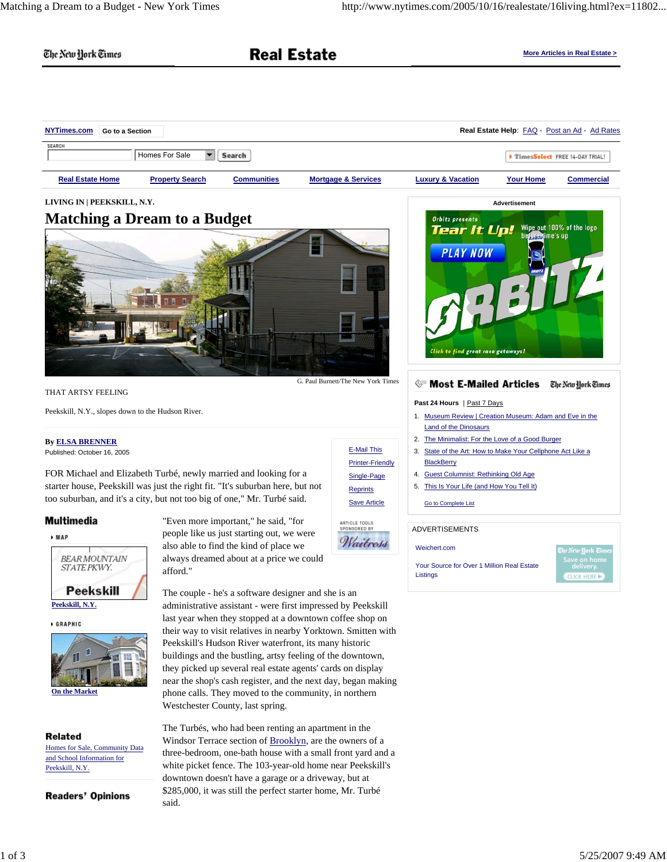The New York Times

# **Real Estate**

**More Articles in Real Estate >**

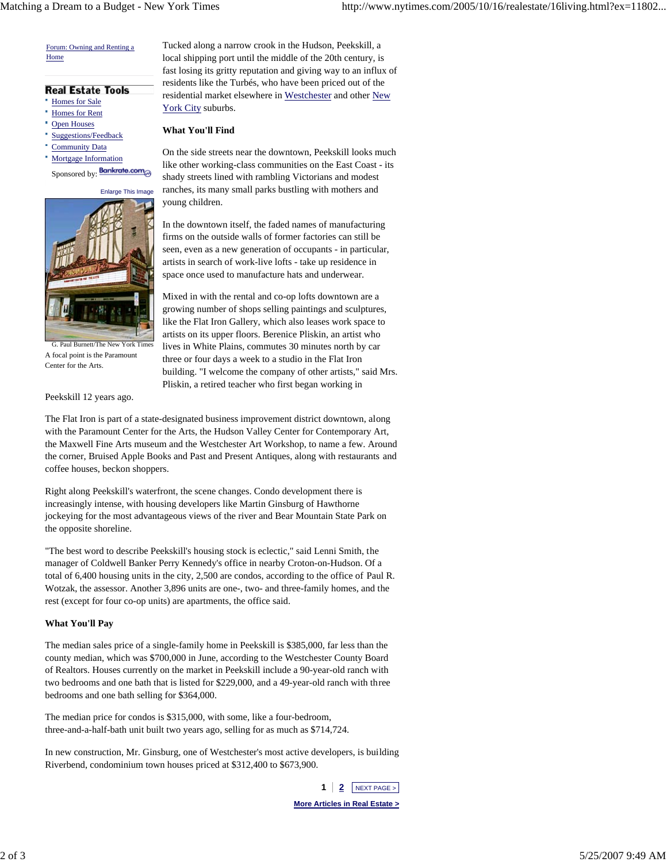Forum: Owning and Renting a Home

#### **Real Estate Tools**

- Homes for Sale
- Homes for Rent
- Open Houses
- Suggestions/Feedback
- Community Data

Mortgage Information

Sponsored by: **Bankrate.com** 

**Enlarge This Imag** 



G. Paul Burnett/The New York Tim A focal point is the Paramount Center for the Arts.

Peekskill 12 years ago.

Tucked along a narrow crook in the Hudson, Peekskill, a local shipping port until the middle of the 20th century, is fast losing its gritty reputation and giving way to an influx of residents like the Turbés, who have been priced out of the residential market elsewhere in Westchester and other New York City suburbs.

### **What You'll Find**

On the side streets near the downtown, Peekskill looks much like other working-class communities on the East Coast - its shady streets lined with rambling Victorians and modest ranches, its many small parks bustling with mothers and young children.

In the downtown itself, the faded names of manufacturing firms on the outside walls of former factories can still be seen, even as a new generation of occupants - in particular, artists in search of work-live lofts - take up residence in space once used to manufacture hats and underwear.

Mixed in with the rental and co-op lofts downtown are a growing number of shops selling paintings and sculptures, like the Flat Iron Gallery, which also leases work space to artists on its upper floors. Berenice Pliskin, an artist who lives in White Plains, commutes 30 minutes north by car three or four days a week to a studio in the Flat Iron building. "I welcome the company of other artists," said Mrs. Pliskin, a retired teacher who first began working in

The Flat Iron is part of a state-designated business improvement district downtown, along with the Paramount Center for the Arts, the Hudson Valley Center for Contemporary Art, the Maxwell Fine Arts museum and the Westchester Art Workshop, to name a few. Around the corner, Bruised Apple Books and Past and Present Antiques, along with restaurants and coffee houses, beckon shoppers.

Right along Peekskill's waterfront, the scene changes. Condo development there is increasingly intense, with housing developers like Martin Ginsburg of Hawthorne jockeying for the most advantageous views of the river and Bear Mountain State Park on the opposite shoreline.

"The best word to describe Peekskill's housing stock is eclectic," said Lenni Smith, the manager of Coldwell Banker Perry Kennedy's office in nearby Croton-on-Hudson. Of a total of 6,400 housing units in the city, 2,500 are condos, according to the office of Paul R. Wotzak, the assessor. Another 3,896 units are one-, two- and three-family homes, and the rest (except for four co-op units) are apartments, the office said.

# **What You'll Pay**

The median sales price of a single-family home in Peekskill is \$385,000, far less than the county median, which was \$700,000 in June, according to the Westchester County Board of Realtors. Houses currently on the market in Peekskill include a 90-year-old ranch with two bedrooms and one bath that is listed for \$229,000, and a 49-year-old ranch with three bedrooms and one bath selling for \$364,000.

The median price for condos is \$315,000, with some, like a four-bedroom, three-and-a-half-bath unit built two years ago, selling for as much as \$714,724.

In new construction, Mr. Ginsburg, one of Westchester's most active developers, is building Riverbend, condominium town houses priced at \$312,400 to \$673,900.

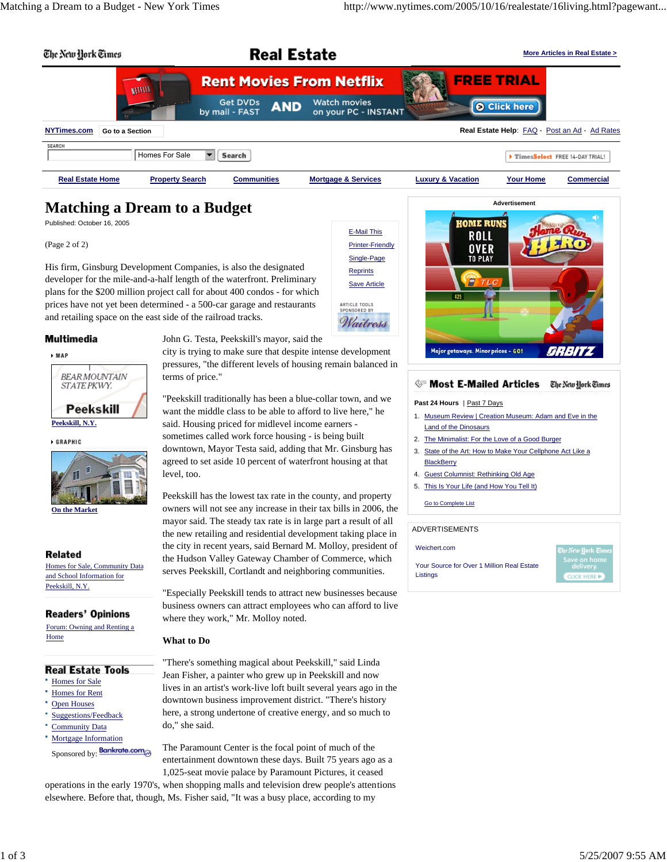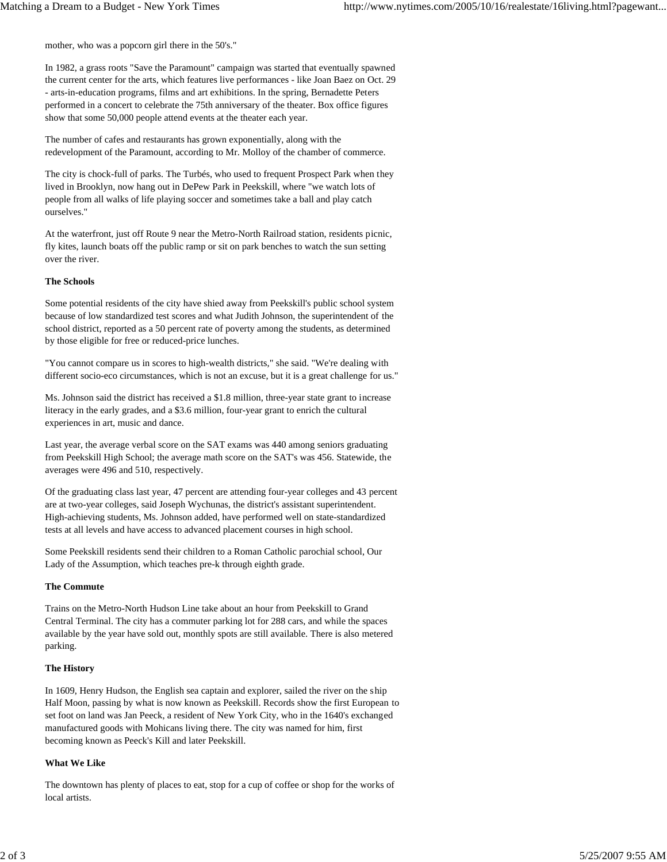mother, who was a popcorn girl there in the 50's."

In 1982, a grass roots "Save the Paramount" campaign was started that eventually spawned the current center for the arts, which features live performances - like Joan Baez on Oct. 29 - arts-in-education programs, films and art exhibitions. In the spring, Bernadette Peters performed in a concert to celebrate the 75th anniversary of the theater. Box office figures show that some 50,000 people attend events at the theater each year.

The number of cafes and restaurants has grown exponentially, along with the redevelopment of the Paramount, according to Mr. Molloy of the chamber of commerce.

The city is chock-full of parks. The Turbés, who used to frequent Prospect Park when they lived in Brooklyn, now hang out in DePew Park in Peekskill, where "we watch lots of people from all walks of life playing soccer and sometimes take a ball and play catch ourselves."

At the waterfront, just off Route 9 near the Metro-North Railroad station, residents picnic, fly kites, launch boats off the public ramp or sit on park benches to watch the sun setting over the river.

## **The Schools**

Some potential residents of the city have shied away from Peekskill's public school system because of low standardized test scores and what Judith Johnson, the superintendent of the school district, reported as a 50 percent rate of poverty among the students, as determined by those eligible for free or reduced-price lunches.

"You cannot compare us in scores to high-wealth districts," she said. "We're dealing with different socio-eco circumstances, which is not an excuse, but it is a great challenge for us."

Ms. Johnson said the district has received a \$1.8 million, three-year state grant to increase literacy in the early grades, and a \$3.6 million, four-year grant to enrich the cultural experiences in art, music and dance.

Last year, the average verbal score on the SAT exams was 440 among seniors graduating from Peekskill High School; the average math score on the SAT's was 456. Statewide, the averages were 496 and 510, respectively.

Of the graduating class last year, 47 percent are attending four-year colleges and 43 percent are at two-year colleges, said Joseph Wychunas, the district's assistant superintendent. High-achieving students, Ms. Johnson added, have performed well on state-standardized tests at all levels and have access to advanced placement courses in high school.

Some Peekskill residents send their children to a Roman Catholic parochial school, Our Lady of the Assumption, which teaches pre-k through eighth grade.

## **The Commute**

Trains on the Metro-North Hudson Line take about an hour from Peekskill to Grand Central Terminal. The city has a commuter parking lot for 288 cars, and while the spaces available by the year have sold out, monthly spots are still available. There is also metered parking.

# **The History**

In 1609, Henry Hudson, the English sea captain and explorer, sailed the river on the ship Half Moon, passing by what is now known as Peekskill. Records show the first European to set foot on land was Jan Peeck, a resident of New York City, who in the 1640's exchanged manufactured goods with Mohicans living there. The city was named for him, first becoming known as Peeck's Kill and later Peekskill.

#### **What We Like**

The downtown has plenty of places to eat, stop for a cup of coffee or shop for the works of local artists.